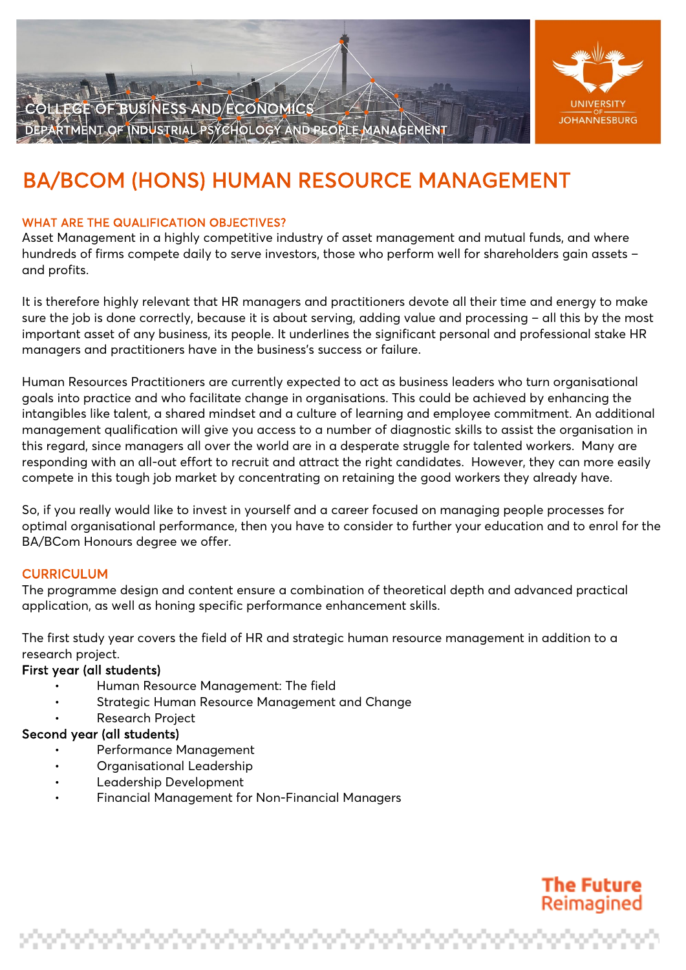

LLEGE OF BUSINESS AND ECONOMICS MENT OF INDUSTRIAL PSYCHOLOGY AND REOPLE

# BA/BCOM (HONS) HUMAN RESOURCE MANAGEMENT

## WHAT ARE THE QUALIFICATION OBJECTIVES?

Asset Management in a highly competitive industry of asset management and mutual funds, and where hundreds of firms compete daily to serve investors, those who perform well for shareholders gain assets – and profits.

It is therefore highly relevant that HR managers and practitioners devote all their time and energy to make sure the job is done correctly, because it is about serving, adding value and processing – all this by the most important asset of any business, its people. It underlines the significant personal and professional stake HR managers and practitioners have in the business's success or failure.

Human Resources Practitioners are currently expected to act as business leaders who turn organisational goals into practice and who facilitate change in organisations. This could be achieved by enhancing the intangibles like talent, a shared mindset and a culture of learning and employee commitment. An additional management qualification will give you access to a number of diagnostic skills to assist the organisation in this regard, since managers all over the world are in a desperate struggle for talented workers. Many are responding with an all-out effort to recruit and attract the right candidates. However, they can more easily compete in this tough job market by concentrating on retaining the good workers they already have.

So, if you really would like to invest in yourself and a career focused on managing people processes for optimal organisational performance, then you have to consider to further your education and to enrol for the BA/BCom Honours degree we offer.

## **CURRICULUM**

The programme design and content ensure a combination of theoretical depth and advanced practical application, as well as honing specific performance enhancement skills.

The first study year covers the field of HR and strategic human resource management in addition to a research project.

#### First year (all students)

- Human Resource Management: The field
- Strategic Human Resource Management and Change
- Research Project

#### Second year (all students)

- Performance Management
- Organisational Leadership
- Leadership Development
- Financial Management for Non-Financial Managers